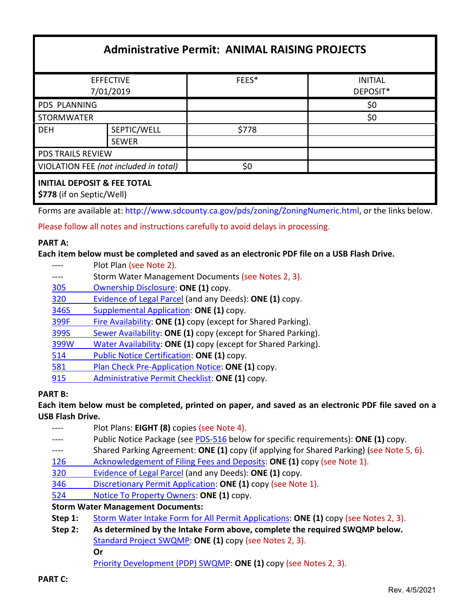# **Administrative Permit: ANIMAL RAISING PROJECTS**

| <b>EFFECTIVE</b>                                                    |              | FEES* | <b>INITIAL</b> |
|---------------------------------------------------------------------|--------------|-------|----------------|
| 7/01/2019                                                           |              |       | DEPOSIT*       |
| PDS PLANNING                                                        |              |       | \$0            |
| STORMWATER                                                          |              |       | \$0            |
| <b>DEH</b>                                                          | SEPTIC/WELL  | \$778 |                |
|                                                                     | <b>SEWER</b> |       |                |
| <b>PDS TRAILS REVIEW</b>                                            |              |       |                |
| VIOLATION FEE (not included in total)                               |              | \$0   |                |
| <b>INITIAL DEPOSIT &amp; FEE TOTAL</b><br>\$778 (if on Septic/Well) |              |       |                |

Forms are available at[: http://www.sdcounty.ca.gov/pds/zoning/ZoningNumeric.html,](http://www.sdcounty.ca.gov/pds/zoning/ZoningNumeric.html) or the links below.

Please follow all notes and instructions carefully to avoid delays in processing.

#### **PART A:**

**Each item below must be completed and saved as an electronic PDF file on a USB Flash Drive.**

- ---- Plot Plan (see Note 2).
- ---- Storm Water Management Documents (see Notes 2, 3).
- [305 Ownership Disclosure:](https://www.sandiegocounty.gov/content/dam/sdc/pds/zoning/formfields/PDS-PLN-305.pdf) **ONE (1)** copy.
- 320 [Evidence of Legal Parcel](https://www.sandiegocounty.gov/content/dam/sdc/pds/zoning/formfields/PDS-PLN-320.pdf) (and any Deeds): **ONE (1)** copy.
- 346S [Supplemental Application:](https://www.sandiegocounty.gov/content/dam/sdc/pds/zoning/formfields/PDS-PLN-346S.pdf) **ONE (1)** copy.
- [399F Fire Availability:](https://www.sandiegocounty.gov/content/dam/sdc/pds/zoning/formfields/PDS-PLN-399F.pdf) **ONE (1)** copy (except for Shared Parking).
- 399S [Sewer Availability:](https://www.sandiegocounty.gov/content/dam/sdc/pds/zoning/formfields/PDS-PLN-399S.pdf) **ONE (1)** copy (except for Shared Parking).
- [399W Water Availability:](https://www.sandiegocounty.gov/content/dam/sdc/pds/zoning/formfields/PDS-PLN-399W.pdf) **ONE (1)** copy (except for Shared Parking).
- 514 [Public Notice Certification:](https://www.sandiegocounty.gov/content/dam/sdc/pds/zoning/formfields/PDS-PLN-514.pdf) **ONE (1)** copy.
- 581 [Plan Check Pre-Application Notice:](https://www.sandiegocounty.gov/content/dam/sdc/pds/zoning/formfields/PDS-PLN-581.pdf) **ONE (1)** copy.
- 915 [Administrative Permit Checklist:](https://www.sandiegocounty.gov/content/dam/sdc/pds/zoning/formfields/PDS-PLN-915.pdf) **ONE (1)** copy.

#### **PART B:**

**Each item below must be completed, printed on paper, and saved as an electronic PDF file saved on a USB Flash Drive.**

| Plot Plans: EIGHT (8) copies (see Note 4).                                               |  |  |
|------------------------------------------------------------------------------------------|--|--|
| Public Notice Package (see PDS-516 below for specific requirements): ONE (1) copy.       |  |  |
| Shared Parking Agreement: ONE (1) copy (if applying for Shared Parking) (see Note 5, 6). |  |  |
| Acknowledgement of Filing Fees and Deposits: ONE (1) copy (see Note 1).                  |  |  |
| Evidence of Legal Parcel (and any Deeds): ONE (1) copy.                                  |  |  |
| Discretionary Permit Application: ONE (1) copy (see Note 1).                             |  |  |
| Notice To Property Owners: ONE (1) copy.                                                 |  |  |
| <b>Storm Water Management Documents:</b>                                                 |  |  |
| Storm Water Intake Form for All Permit Applications: ONE (1) copy (see Notes 2, 3).      |  |  |
| As determined by the Intake Form above, complete the required SWQMP below.               |  |  |
| Standard Project SWQMP: ONE (1) copy (see Notes 2, 3).                                   |  |  |
| Or                                                                                       |  |  |
|                                                                                          |  |  |

[Priority Development \(PDP\) SWQMP:](https://www.sandiegocounty.gov/content/sdc/dpw/watersheds/DevelopmentandConstruction/BMP_Design_Manual.html) **ONE (1)** copy (see Notes 2, 3).